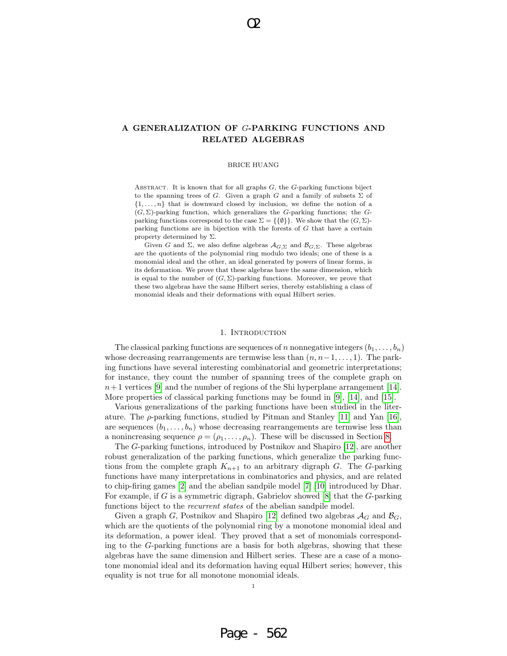## A GENERALIZATION OF G-PARKING FUNCTIONS AND RELATED ALGEBRAS

O2

### BRICE HUANG

ABSTRACT. It is known that for all graphs  $G$ , the  $G$ -parking functions biject to the spanning trees of G. Given a graph G and a family of subsets  $\Sigma$  of  $\{1, \ldots, n\}$  that is downward closed by inclusion, we define the notion of a  $(G, \Sigma)$ -parking function, which generalizes the G-parking functions; the Gparking functions correspond to the case  $\Sigma = \{\{\emptyset\}\}\.$  We show that the  $(G, \Sigma)$ parking functions are in bijection with the forests of G that have a certain property determined by  $\Sigma$ .

Given G and  $\Sigma$ , we also define algebras  $\mathcal{A}_{G,\Sigma}$  and  $\mathcal{B}_{G,\Sigma}$ . These algebras are the quotients of the polynomial ring modulo two ideals; one of these is a monomial ideal and the other, an ideal generated by powers of linear forms, is its deformation. We prove that these algebras have the same dimension, which is equal to the number of  $(G, \Sigma)$ -parking functions. Moreover, we prove that these two algebras have the same Hilbert series, thereby establishing a class of monomial ideals and their deformations with equal Hilbert series.

## 1. INTRODUCTION

The classical parking functions are sequences of n nonnegative integers  $(b_1, \ldots, b_n)$ whose decreasing rearrangements are termwise less than  $(n, n-1, \ldots, 1)$ . The parking functions have several interesting combinatorial and geometric interpretations; for instance, they count the number of spanning trees of the complete graph on  $n+1$  vertices [9] and the number of regions of the Shi hyperplane arrangement [14]. More properties of classical parking functions may be found in [9], [14], and [15].

Various generalizations of the parking functions have been studied in the literature. The  $\rho$ -parking functions, studied by Pitman and Stanley [11] and Yan [16], are sequences  $(b_1, \ldots, b_n)$  whose decreasing rearrangements are termwise less than a nonincreasing sequence  $\rho = (\rho_1, \ldots, \rho_n)$ . These will be discussed in Section 8.

The G-parking functions, introduced by Postnikov and Shapiro [12], are another robust generalization of the parking functions, which generalize the parking functions from the complete graph  $K_{n+1}$  to an arbitrary digraph G. The G-parking functions have many interpretations in combinatorics and physics, and are related to chip-firing games [2] and the abelian sandpile model [7] [10] introduced by Dhar. For example, if G is a symmetric digraph, Gabrielov showed  $[8]$  that the G-parking functions biject to the *recurrent states* of the abelian sandpile model.

Given a graph G, Postnikov and Shapiro [12] defined two algebras  $\mathcal{A}_G$  and  $\mathcal{B}_G$ , which are the quotients of the polynomial ring by a monotone monomial ideal and its deformation, a power ideal. They proved that a set of monomials corresponding to the G-parking functions are a basis for both algebras, showing that these algebras have the same dimension and Hilbert series. These are a case of a monotone monomial ideal and its deformation having equal Hilbert series; however, this equality is not true for all monotone monomial ideals.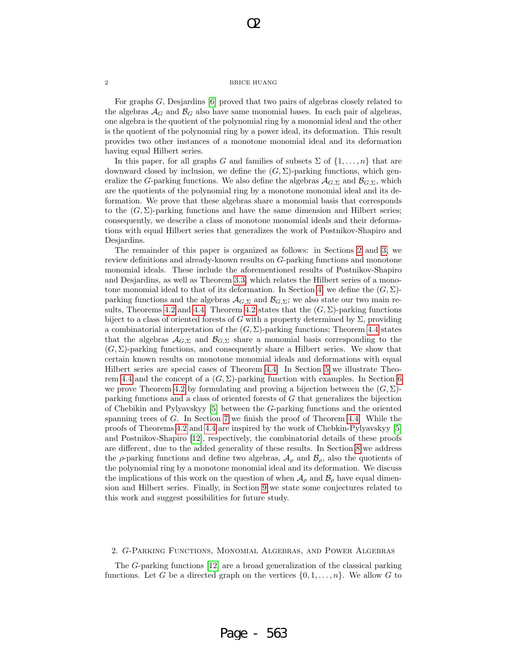O2

For graphs G, Desjardins [6] proved that two pairs of algebras closely related to the algebras  $A_G$  and  $B_G$  also have same monomial bases. In each pair of algebras, one algebra is the quotient of the polynomial ring by a monomial ideal and the other is the quotient of the polynomial ring by a power ideal, its deformation. This result provides two other instances of a monotone monomial ideal and its deformation having equal Hilbert series.

In this paper, for all graphs G and families of subsets  $\Sigma$  of  $\{1, \ldots, n\}$  that are downward closed by inclusion, we define the  $(G, \Sigma)$ -parking functions, which generalize the G-parking functions. We also define the algebras  $\mathcal{A}_{G,\Sigma}$  and  $\mathcal{B}_{G,\Sigma}$ , which are the quotients of the polynomial ring by a monotone monomial ideal and its deformation. We prove that these algebras share a monomial basis that corresponds to the  $(G, \Sigma)$ -parking functions and have the same dimension and Hilbert series; consequently, we describe a class of monotone monomial ideals and their deformations with equal Hilbert series that generalizes the work of Postnikov-Shapiro and Desjardins.

The remainder of this paper is organized as follows: in Sections 2 and 3, we review definitions and already-known results on G-parking functions and monotone monomial ideals. These include the aforementioned results of Postnikov-Shapiro and Desjardins, as well as Theorem 3.3, which relates the Hilbert series of a monotone monomial ideal to that of its deformation. In Section 4, we define the  $(G, \Sigma)$ parking functions and the algebras  $\mathcal{A}_{G,\Sigma}$  and  $\mathcal{B}_{G,\Sigma}$ ; we also state our two main results, Theorems 4.2 and 4.4. Theorem 4.2 states that the  $(G, \Sigma)$ -parking functions biject to a class of oriented forests of G with a property determined by  $\Sigma$ , providing a combinatorial interpretation of the  $(G, \Sigma)$ -parking functions; Theorem 4.4 states that the algebras  $\mathcal{A}_{G,\Sigma}$  and  $\mathcal{B}_{G,\Sigma}$  share a monomial basis corresponding to the  $(G, \Sigma)$ -parking functions, and consequently share a Hilbert series. We show that certain known results on monotone monomial ideals and deformations with equal Hilbert series are special cases of Theorem 4.4. In Section 5 we illustrate Theorem 4.4 and the concept of a  $(G, \Sigma)$ -parking function with examples. In Section 6 we prove Theorem 4.2 by formulating and proving a bijection between the  $(G, \Sigma)$ parking functions and a class of oriented forests of G that generalizes the bijection of Chebikin and Pylyavskyy [5] between the G-parking functions and the oriented spanning trees of G. In Section 7 we finish the proof of Theorem 4.4. While the proofs of Theorems 4.2 and 4.4 are inspired by the work of Chebkin-Pylyavskyy [5] and Postnikov-Shapiro [12], respectively, the combinatorial details of these proofs are different, due to the added generality of these results. In Section 8 we address the  $\rho$ -parking functions and define two algebras,  $\mathcal{A}_{\rho}$  and  $\mathcal{B}_{\rho}$ , also the quotients of the polynomial ring by a monotone monomial ideal and its deformation. We discuss the implications of this work on the question of when  $A_\rho$  and  $B_\rho$  have equal dimension and Hilbert series. Finally, in Section 9 we state some conjectures related to this work and suggest possibilities for future study.

## 2. G-Parking Functions, Monomial Algebras, and Power Algebras

The G-parking functions [12] are a broad generalization of the classical parking functions. Let G be a directed graph on the vertices  $\{0, 1, \ldots, n\}$ . We allow G to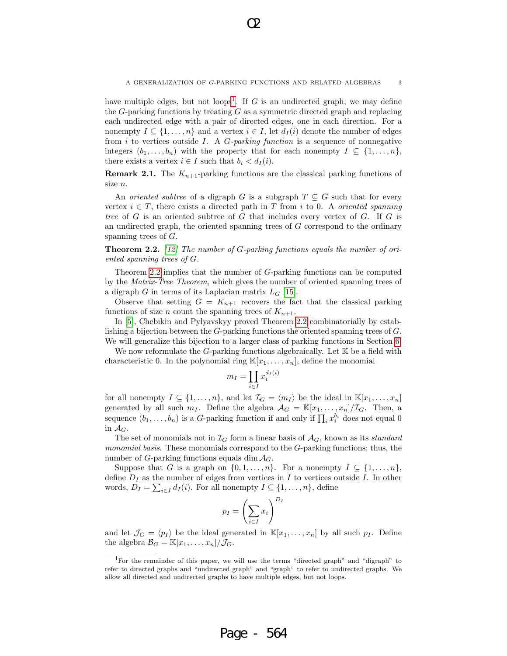have multiple edges, but not loops<sup>1</sup>. If G is an undirected graph, we may define the  $G$ -parking functions by treating  $G$  as a symmetric directed graph and replacing each undirected edge with a pair of directed edges, one in each direction. For a nonempty  $I \subseteq \{1, \ldots, n\}$  and a vertex  $i \in I$ , let  $d_I(i)$  denote the number of edges from i to vertices outside I. A  $G$ -parking function is a sequence of nonnegative integers  $(b_1, \ldots, b_n)$  with the property that for each nonempty  $I \subseteq \{1, \ldots, n\}$ , there exists a vertex  $i \in I$  such that  $b_i < d_I(i)$ .

**Remark 2.1.** The  $K_{n+1}$ -parking functions are the classical parking functions of size n.

An *oriented subtree* of a digraph G is a subgraph  $T \subseteq G$  such that for every vertex  $i \in T$ , there exists a directed path in T from i to 0. A *oriented spanning* tree of  $G$  is an oriented subtree of  $G$  that includes every vertex of  $G$ . If  $G$  is an undirected graph, the oriented spanning trees of  $G$  correspond to the ordinary spanning trees of G.

Theorem 2.2. [12] The number of G-parking functions equals the number of oriented spanning trees of G.

Theorem 2.2 implies that the number of G-parking functions can be computed by the Matrix-Tree Theorem, which gives the number of oriented spanning trees of a digraph G in terms of its Laplacian matrix  $L_G$  [15].

Observe that setting  $G = K_{n+1}$  recovers the fact that the classical parking functions of size *n* count the spanning trees of  $K_{n+1}$ .

In [5], Chebikin and Pylyavskyy proved Theorem 2.2 combinatorially by establishing a bijection between the G-parking functions the oriented spanning trees of G. We will generalize this bijection to a larger class of parking functions in Section 6.

We now reformulate the  $G$ -parking functions algebraically. Let  $K$  be a field with characteristic 0. In the polynomial ring  $\mathbb{K}[x_1,\ldots,x_n]$ , define the monomial

$$
m_I = \prod_{i \in I} x_i^{d_I(i)}
$$

for all nonempty  $I \subseteq \{1, \ldots, n\}$ , and let  $\mathcal{I}_G = \langle m_I \rangle$  be the ideal in  $\mathbb{K}[x_1, \ldots, x_n]$ generated by all such  $m_I$ . Define the algebra  $\mathcal{A}_G = \mathbb{K}[x_1, \ldots, x_n]/\mathcal{I}_G$ . Then, a sequence  $(b_1, \ldots, b_n)$  is a G-parking function if and only if  $\prod_i x_i^{b_i}$  does not equal 0 in  $\mathcal{A}_G$ .

The set of monomials not in  $\mathcal{I}_G$  form a linear basis of  $\mathcal{A}_G$ , known as its standard monomial basis. These monomials correspond to the G-parking functions; thus, the number of G-parking functions equals dim  $A_G$ .

Suppose that G is a graph on  $\{0, 1, \ldots, n\}$ . For a nonempty  $I \subseteq \{1, \ldots, n\}$ , define  $D_I$  as the number of edges from vertices in I to vertices outside I. In other words,  $D_I = \sum_{i \in I} d_I(i)$ . For all nonempty  $I \subseteq \{1, \ldots, n\}$ , define

$$
p_I = \left(\sum_{i \in I} x_i\right)^{D_I}
$$

and let  $\mathcal{J}_G = \langle p_I \rangle$  be the ideal generated in  $\mathbb{K}[x_1, \ldots, x_n]$  by all such  $p_I$ . Define the algebra  $\mathcal{B}_G = \mathbb{K}[x_1,\ldots,x_n]/\mathcal{J}_G$ .

<sup>1</sup>For the remainder of this paper, we will use the terms "directed graph" and "digraph" to refer to directed graphs and "undirected graph" and "graph" to refer to undirected graphs. We allow all directed and undirected graphs to have multiple edges, but not loops.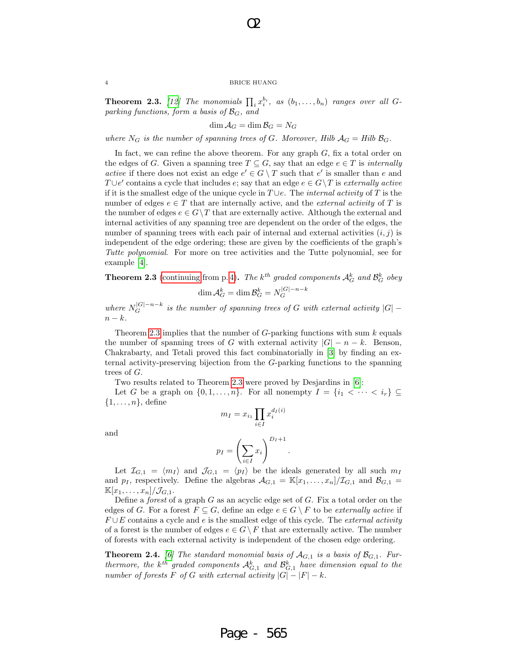O2

**Theorem 2.3.** [12] The monomials  $\prod_i x_i^{b_i}$ , as  $(b_1, \ldots, b_n)$  ranges over all Gparking functions, form a basis of  $\mathcal{B}_G$ , and

$$
\dim \mathcal{A}_G = \dim \mathcal{B}_G = N_G
$$

where  $N_G$  is the number of spanning trees of G. Moreover, Hilb  $A_G = Hilb \mathcal{B}_G$ .

In fact, we can refine the above theorem. For any graph  $G$ , fix a total order on the edges of G. Given a spanning tree  $T \subseteq G$ , say that an edge  $e \in T$  is *internally* active if there does not exist an edge  $e' \in G \setminus T$  such that  $e'$  is smaller than e and T∪e' contains a cycle that includes e; say that an edge  $e \in G \backslash T$  is externally active if it is the smallest edge of the unique cycle in  $T \cup e$ . The *internal activity* of T is the number of edges  $e \in T$  that are internally active, and the *external activity* of T is the number of edges  $e \in G \backslash T$  that are externally active. Although the external and internal activities of any spanning tree are dependent on the order of the edges, the number of spanning trees with each pair of internal and external activities  $(i, j)$  is independent of the edge ordering; these are given by the coefficients of the graph's Tutte polynomial. For more on tree activities and the Tutte polynomial, see for example [4].

**Theorem 2.3** (continuing from p. 4). The k<sup>th</sup> graded components  $A_G^k$  and  $\mathcal{B}_G^k$  obey  $\dim{\cal A}^k_G=\dim{\cal B}^k_G=N_G^{|G|-n-k}$ G

where  $N_G^{|G|-n-k}$  is the number of spanning trees of G with external activity  $|G|$  $n - k$ .

Theorem 2.3 implies that the number of  $G$ -parking functions with sum  $k$  equals the number of spanning trees of G with external activity  $|G| - n - k$ . Benson, Chakrabarty, and Tetali proved this fact combinatorially in [3] by finding an external activity-preserving bijection from the G-parking functions to the spanning trees of G.

Two results related to Theorem 2.3 were proved by Desjardins in [6]:

Let G be a graph on  $\{0, 1, \ldots, n\}$ . For all nonempty  $I = \{i_1 < \cdots < i_r\} \subseteq$  $\{1,\ldots,n\}$ , define

and

$$
m_I = x_{i_1} \prod_{i \in I} x_i^{d_I(i)}
$$

$$
p_I = \left(\sum x_i\right)^{D_I + 1}.
$$

Let  $\mathcal{I}_{G,1} = \langle m_I \rangle$  and  $\mathcal{I}_{G,1} = \langle p_I \rangle$  be the ideals generated by all such  $m_I$ and  $p_1$ , respectively. Define the algebras  $\mathcal{A}_{G,1} = \mathbb{K}[x_1,\ldots,x_n]/\mathcal{I}_{G,1}$  and  $\mathcal{B}_{G,1} =$  $\mathbb{K}[x_1,\ldots,x_n]/\mathcal{J}_{G,1}.$ 

i∈I

Define a *forest* of a graph  $G$  as an acyclic edge set of  $G$ . Fix a total order on the edges of G. For a forest  $F \subseteq G$ , define an edge  $e \in G \setminus F$  to be externally active if  $F \cup E$  contains a cycle and e is the smallest edge of this cycle. The external activity of a forest is the number of edges  $e \in G \backslash F$  that are externally active. The number of forests with each external activity is independent of the chosen edge ordering.

**Theorem 2.4.** [6] The standard monomial basis of  $A_{G,1}$  is a basis of  $\mathcal{B}_{G,1}$ . Furthermore, the k<sup>th</sup> graded components  $\mathcal{A}_{G,1}^k$  and  $\mathcal{B}_{G,1}^k$  have dimension equal to the number of forests F of G with external activity  $|G| - |F| - k$ .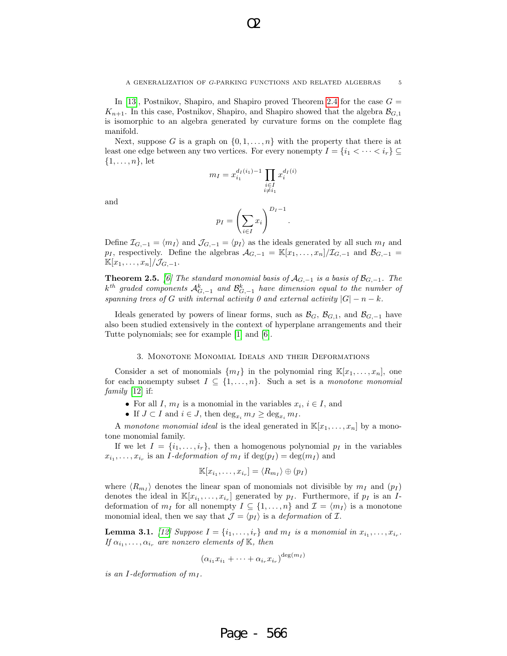In [13], Postnikov, Shapiro, and Shapiro proved Theorem 2.4 for the case  $G =$  $K_{n+1}$ . In this case, Postnikov, Shapiro, and Shapiro showed that the algebra  $\mathcal{B}_{G,1}$ is isomorphic to an algebra generated by curvature forms on the complete flag manifold.

Next, suppose G is a graph on  $\{0, 1, \ldots, n\}$  with the property that there is at least one edge between any two vertices. For every nonempty  $I = \{i_1 < \cdots < i_r\} \subseteq$  $\{1,\ldots,n\}$ , let

$$
m_I = x_{i_1}^{d_I(i_1) - 1} \prod_{\substack{i \in I \\ i \neq i_1}} x_i^{d_I(i)}
$$

and

$$
p_I = \left(\sum_{i \in I} x_i\right)^{D_I - 1}
$$

.

Define  $\mathcal{I}_{G,-1} = \langle m_I \rangle$  and  $\mathcal{J}_{G,-1} = \langle p_I \rangle$  as the ideals generated by all such  $m_I$  and  $p_I$ , respectively. Define the algebras  $\mathcal{A}_{G,-1} = \mathbb{K}[x_1,\ldots,x_n]/\mathcal{I}_{G,-1}$  and  $\mathcal{B}_{G,-1} =$  $\mathbb{K}[x_1,\ldots,x_n]/\mathcal{J}_{G,-1}.$ 

**Theorem 2.5.** [6] The standard monomial basis of  $\mathcal{A}_{G,-1}$  is a basis of  $\mathcal{B}_{G,-1}$ . The  $k^{th}$  graded components  $\mathcal{A}_{G,-1}^k$  and  $\mathcal{B}_{G,-1}^k$  have dimension equal to the number of spanning trees of G with internal activity 0 and external activity  $|G| - n - k$ .

Ideals generated by powers of linear forms, such as  $\mathcal{B}_G$ ,  $\mathcal{B}_{G,1}$ , and  $\mathcal{B}_{G,-1}$  have also been studied extensively in the context of hyperplane arrangements and their Tutte polynomials; see for example [1] and [6].

## 3. Monotone Monomial Ideals and their Deformations

Consider a set of monomials  $\{m_I\}$  in the polynomial ring  $\mathbb{K}[x_1,\ldots,x_n]$ , one for each nonempty subset  $I \subseteq \{1, ..., n\}$ . Such a set is a monotone monomial  $family$  [12] if:

- For all I,  $m_I$  is a monomial in the variables  $x_i, i \in I$ , and
- If  $J \subset I$  and  $i \in J$ , then  $\deg_{x_i} m_J \geq \deg_{x_i} m_I$ .

A monotone monomial ideal is the ideal generated in  $\mathbb{K}[x_1,\ldots,x_n]$  by a monotone monomial family.

If we let  $I = \{i_1, \ldots, i_r\}$ , then a homogenous polynomial  $p_I$  in the variables  $x_{i_1}, \ldots, x_{i_r}$  is an *I-deformation of*  $m_I$  if  $\deg(p_I) = \deg(m_I)$  and

$$
\mathbb{K}[x_{i_1},\ldots,x_{i_r}]=\langle R_{m_I}\rangle\oplus (p_I)
$$

where  $\langle R_{m_I} \rangle$  denotes the linear span of monomials not divisible by  $m_I$  and  $(p_I)$ denotes the ideal in  $\mathbb{K}[x_{i_1},\ldots,x_{i_r}]$  generated by  $p_I$ . Furthermore, if  $p_I$  is an Ideformation of  $m_I$  for all nonempty  $I \subseteq \{1, ..., n\}$  and  $\mathcal{I} = \langle m_I \rangle$  is a monotone monomial ideal, then we say that  $\mathcal{J} = \langle p_I \rangle$  is a *deformation* of  $\mathcal{I}$ .

**Lemma 3.1.** [12] Suppose  $I = \{i_1, \ldots, i_r\}$  and  $m_I$  is a monomial in  $x_{i_1}, \ldots, x_{i_r}$ . If  $\alpha_{i_1}, \ldots, \alpha_{i_r}$  are nonzero elements of K, then

$$
(\alpha_{i_1} x_{i_1} + \dots + \alpha_{i_r} x_{i_r})^{\deg(m_I)}
$$

Page - 566

is an I-deformation of  $m_I$ .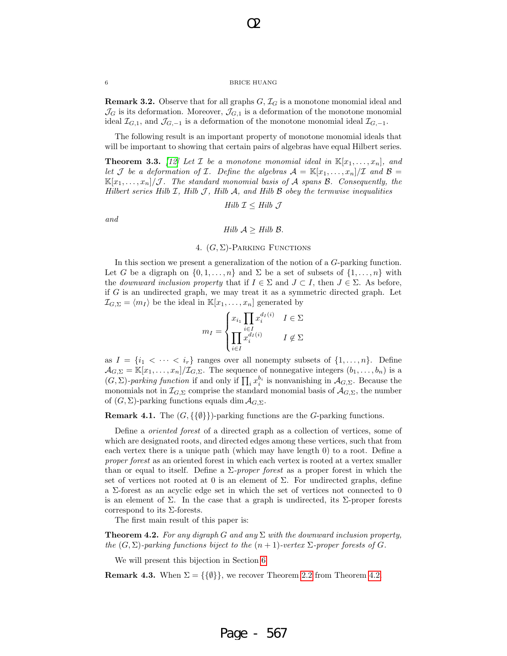O2

**Remark 3.2.** Observe that for all graphs  $G, \mathcal{I}_G$  is a monotone monomial ideal and  $\mathcal{J}_G$  is its deformation. Moreover,  $\mathcal{J}_{G,1}$  is a deformation of the monotone monomial ideal  $\mathcal{I}_{G,1}$ , and  $\mathcal{J}_{G,-1}$  is a deformation of the monotone monomial ideal  $\mathcal{I}_{G,-1}$ .

The following result is an important property of monotone monomial ideals that will be important to showing that certain pairs of algebras have equal Hilbert series.

**Theorem 3.3.** [12] Let  $\mathcal{I}$  be a monotone monomial ideal in  $\mathbb{K}[x_1, \ldots, x_n]$ , and let J be a deformation of I. Define the algebras  $\mathcal{A} = \mathbb{K}[x_1, \ldots, x_n]/\mathcal{I}$  and  $\mathcal{B} =$  $\mathbb{K}[x_1,\ldots,x_n]/\mathcal{J}$ . The standard monomial basis of A spans B. Consequently, the Hilbert series Hilb  $I$ , Hilb  $J$ , Hilb  $A$ , and Hilb  $B$  obey the termwise inequalities

$$
Hilb \mathcal{I} \leq Hilb \mathcal{J}
$$

and

*Hilb* 
$$
A \geq Hilb
$$
 *B*.

## 4.  $(G, \Sigma)$ -PARKING FUNCTIONS

In this section we present a generalization of the notion of a G-parking function. Let G be a digraph on  $\{0, 1, \ldots, n\}$  and  $\Sigma$  be a set of subsets of  $\{1, \ldots, n\}$  with the *downward inclusion property* that if  $I \in \Sigma$  and  $J \subset I$ , then  $J \in \Sigma$ . As before, if G is an undirected graph, we may treat it as a symmetric directed graph. Let  $\mathcal{I}_{G,\Sigma} = \langle m_I \rangle$  be the ideal in  $\mathbb{K}[x_1, \ldots, x_n]$  generated by

$$
m_I = \begin{cases} x_{i_1} \prod_{i \in I} x_i^{d_I(i)} & I \in \Sigma \\ \prod_{i \in I} x_i^{d_I(i)} & I \notin \Sigma \end{cases}
$$

as  $I = \{i_1 < \cdots < i_r\}$  ranges over all nonempty subsets of  $\{1, \ldots, n\}$ . Define  $\mathcal{A}_{G,\Sigma} = \mathbb{K}[x_1,\ldots,x_n]/\mathcal{I}_{G,\Sigma}$ . The sequence of nonnegative integers  $(b_1,\ldots,b_n)$  is a  $(G, \Sigma)$ -parking function if and only if  $\prod_i x_i^{b_i}$  is nonvanishing in  $\mathcal{A}_{G,\Sigma}$ . Because the monomials not in  $\mathcal{I}_{G,\Sigma}$  comprise the standard monomial basis of  $\mathcal{A}_{G,\Sigma}$ , the number of  $(G, \Sigma)$ -parking functions equals dim  $\mathcal{A}_{G,\Sigma}$ .

**Remark 4.1.** The  $(G, \{\{\emptyset\}\})$ -parking functions are the *G*-parking functions.

Define a oriented forest of a directed graph as a collection of vertices, some of which are designated roots, and directed edges among these vertices, such that from each vertex there is a unique path (which may have length 0) to a root. Define a proper forest as an oriented forest in which each vertex is rooted at a vertex smaller than or equal to itself. Define a  $\Sigma$ -proper forest as a proper forest in which the set of vertices not rooted at 0 is an element of  $\Sigma$ . For undirected graphs, define a Σ-forest as an acyclic edge set in which the set of vertices not connected to 0 is an element of  $\Sigma$ . In the case that a graph is undirected, its  $\Sigma$ -proper forests correspond to its Σ-forests.

The first main result of this paper is:

**Theorem 4.2.** For any digraph G and any  $\Sigma$  with the downward inclusion property, the  $(G, \Sigma)$ -parking functions biject to the  $(n + 1)$ -vertex  $\Sigma$ -proper forests of G.

We will present this bijection in Section 6.

**Remark 4.3.** When  $\Sigma = \{\{\emptyset\}\}\$ , we recover Theorem 2.2 from Theorem 4.2.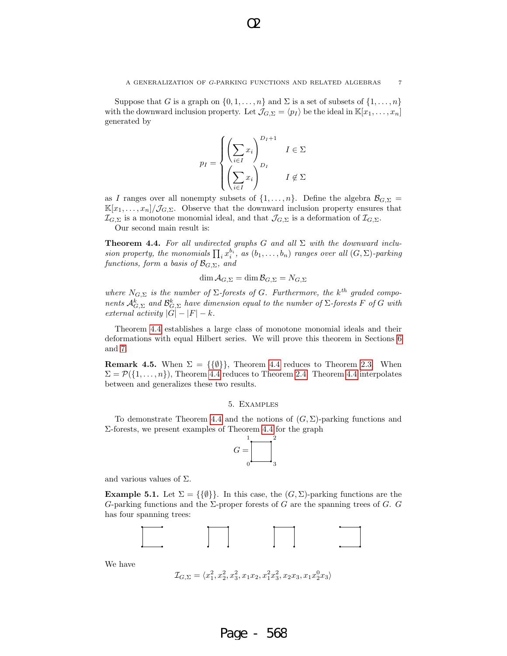Suppose that G is a graph on  $\{0, 1, \ldots, n\}$  and  $\Sigma$  is a set of subsets of  $\{1, \ldots, n\}$ with the downward inclusion property. Let  $\mathcal{J}_{G,\Sigma} = \langle p_I \rangle$  be the ideal in  $\mathbb{K}[x_1, \ldots, x_n]$ generated by



as I ranges over all nonempty subsets of  $\{1, \ldots, n\}$ . Define the algebra  $\mathcal{B}_{G,\Sigma}$  =  $\mathbb{K}[x_1,\ldots,x_n]/\mathcal{J}_{G,\Sigma}$ . Observe that the downward inclusion property ensures that  $\mathcal{I}_{G,\Sigma}$  is a monotone monomial ideal, and that  $\mathcal{J}_{G,\Sigma}$  is a deformation of  $\mathcal{I}_{G,\Sigma}$ .

Our second main result is:

**Theorem 4.4.** For all undirected graphs G and all  $\Sigma$  with the downward inclusion property, the monomials  $\prod_i x_i^{b_i}$ , as  $(b_1, \ldots, b_n)$  ranges over all  $(G, \Sigma)$ -parking functions, form a basis of  $\mathcal{B}_{G,\Sigma}$ , and

$$
\dim \mathcal{A}_{G,\Sigma} = \dim \mathcal{B}_{G,\Sigma} = N_{G,\Sigma}
$$

where  $N_{G,\Sigma}$  is the number of  $\Sigma$ -forests of G. Furthermore, the k<sup>th</sup> graded components  $\mathcal{A}_{G,\Sigma}^k$  and  $\mathcal{B}_{G,\Sigma}^k$  have dimension equal to the number of  $\Sigma$ -forests F of G with external activity  $|G| - |F| - k$ .

Theorem 4.4 establishes a large class of monotone monomial ideals and their deformations with equal Hilbert series. We will prove this theorem in Sections 6 and 7.

**Remark 4.5.** When  $\Sigma = \{\{\emptyset\}\}\$ , Theorem 4.4 reduces to Theorem 2.3. When  $\Sigma = \mathcal{P}(\{1,\ldots,n\})$ , Theorem 4.4 reduces to Theorem 2.4. Theorem 4.4 interpolates between and generalizes these two results.

## 5. Examples

To demonstrate Theorem 4.4 and the notions of  $(G, \Sigma)$ -parking functions and Σ-forests, we present examples of Theorem 4.4 for the graph



and various values of  $\Sigma$ .

**Example 5.1.** Let  $\Sigma = \{\{\emptyset\}\}\$ . In this case, the  $(G, \Sigma)$ -parking functions are the G-parking functions and the  $\Sigma$ -proper forests of G are the spanning trees of G. G has four spanning trees:



We have

```
\mathcal{I}_{G,\Sigma} = \langle x_1^2, x_2^2, x_3^2, x_1x_2, x_1^2x_3^2, x_2x_3, x_1x_2^0x_3 \rangle
```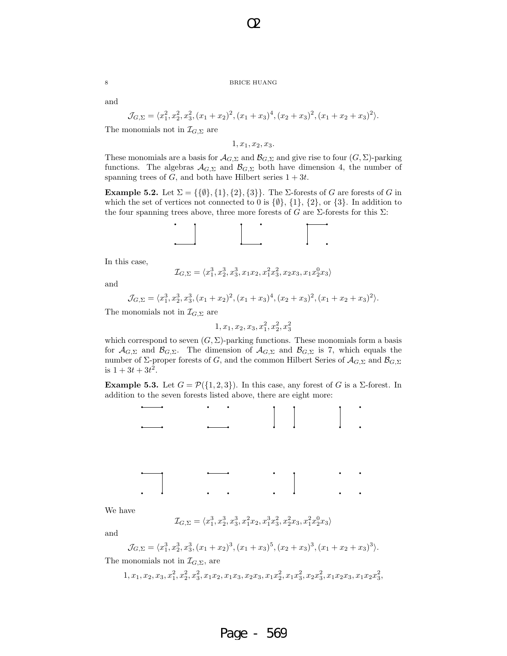O2

and

$$
\mathcal{J}_{G,\Sigma} = \langle x_1^2, x_2^2, x_3^2, (x_1 + x_2)^2, (x_1 + x_3)^4, (x_2 + x_3)^2, (x_1 + x_2 + x_3)^2 \rangle.
$$

The monomials not in  $\mathcal{I}_{G,\Sigma}$  are

 $1, x_1, x_2, x_3.$ 

These monomials are a basis for  $\mathcal{A}_{G,\Sigma}$  and  $\mathcal{B}_{G,\Sigma}$  and give rise to four  $(G,\Sigma)$ -parking functions. The algebras  $\mathcal{A}_{G,\Sigma}$  and  $\mathcal{B}_{G,\Sigma}$  both have dimension 4, the number of spanning trees of  $G$ , and both have Hilbert series  $1 + 3t$ .

**Example 5.2.** Let  $\Sigma = \{\{\emptyset\}, \{1\}, \{2\}, \{3\}\}\$ . The  $\Sigma$ -forests of G are forests of G in which the set of vertices not connected to 0 is  $\{\emptyset\}$ ,  $\{1\}$ ,  $\{2\}$ , or  $\{3\}$ . In addition to the four spanning trees above, three more forests of G are  $\Sigma$ -forests for this  $\Sigma$ :



In this case,

$$
\mathcal{I}_{G,\Sigma}=\langle x_1^3, x_2^3, x_3^3, x_1x_2, x_1^2x_3^2, x_2x_3, x_1x_2^0x_3 \rangle
$$

and

$$
\mathcal{J}_{G,\Sigma} = \langle x_1^3, x_2^3, x_3^3, (x_1 + x_2)^2, (x_1 + x_3)^4, (x_2 + x_3)^2, (x_1 + x_2 + x_3)^2 \rangle.
$$

The monomials not in  $\mathcal{I}_{G,\Sigma}$  are

 $1, x_1, x_2, x_3, x_1^2, x_2^2, x_3^2$ 

which correspond to seven  $(G, \Sigma)$ -parking functions. These monomials form a basis for  $\mathcal{A}_{G,\Sigma}$  and  $\mathcal{B}_{G,\Sigma}$ . The dimension of  $\mathcal{A}_{G,\Sigma}$  and  $\mathcal{B}_{G,\Sigma}$  is 7, which equals the number of Σ-proper forests of G, and the common Hilbert Series of  $\mathcal{A}_{G,\Sigma}$  and  $\mathcal{B}_{G,\Sigma}$ is  $1 + 3t + 3t^2$ .

**Example 5.3.** Let  $G = \mathcal{P}(\{1,2,3\})$ . In this case, any forest of G is a  $\Sigma$ -forest. In addition to the seven forests listed above, there are eight more:



We have

$$
\mathcal{I}_{G,\Sigma}=\langle x_1^3, x_2^3, x_3^3, x_1^2x_2, x_1^3x_3^2, x_2^2x_3, x_1^2x_2^0x_3\rangle
$$

and

$$
\mathcal{J}_{G,\Sigma} = \langle x_1^3, x_2^3, x_3^3, (x_1 + x_2)^3, (x_1 + x_3)^5, (x_2 + x_3)^3, (x_1 + x_2 + x_3)^3 \rangle.
$$

The monomials not in  $\mathcal{I}_{G,\Sigma}$ , are

$$
1, x_1, x_2, x_3, x_1^2, x_2^2, x_3^2, x_1x_2, x_1x_3, x_2x_3, x_1x_2^2, x_1x_3^2, x_2x_3^2, x_1x_2x_3, x_1x_2x_3^2,
$$

$$
\hat{\mathcal{C}}
$$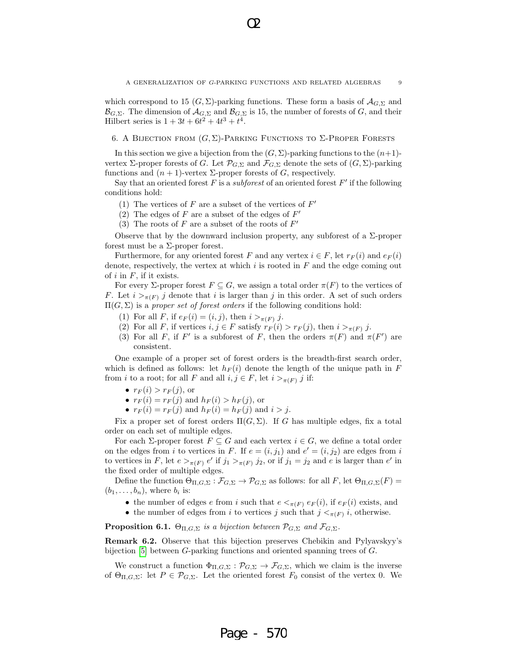which correspond to 15  $(G, \Sigma)$ -parking functions. These form a basis of  $\mathcal{A}_{G,\Sigma}$  and  $\mathcal{B}_{G,\Sigma}$ . The dimension of  $\mathcal{A}_{G,\Sigma}$  and  $\mathcal{B}_{G,\Sigma}$  is 15, the number of forests of G, and their Hilbert series is  $1 + 3t + 6t^2 + 4t^3 + t^4$ .

## 6. A BIJECTION FROM  $(G, \Sigma)$ -PARKING FUNCTIONS TO  $\Sigma$ -PROPER FORESTS

In this section we give a bijection from the  $(G, \Sigma)$ -parking functions to the  $(n+1)$ vertex  $\Sigma$ -proper forests of G. Let  $\mathcal{P}_{G,\Sigma}$  and  $\mathcal{F}_{G,\Sigma}$  denote the sets of  $(G,\Sigma)$ -parking functions and  $(n + 1)$ -vertex  $\Sigma$ -proper forests of G, respectively.

Say that an oriented forest  $F$  is a *subforest* of an oriented forest  $F'$  if the following conditions hold:

- (1) The vertices of  $F$  are a subset of the vertices of  $F'$
- (2) The edges of  $F$  are a subset of the edges of  $F'$
- (3) The roots of  $F$  are a subset of the roots of  $F'$

Observe that by the downward inclusion property, any subforest of a  $\Sigma$ -proper forest must be a  $\Sigma$ -proper forest.

Furthermore, for any oriented forest F and any vertex  $i \in F$ , let  $r_F(i)$  and  $e_F(i)$ denote, respectively, the vertex at which  $i$  is rooted in  $F$  and the edge coming out of  $i$  in  $F$ , if it exists.

For every  $\Sigma$ -proper forest  $F \subseteq G$ , we assign a total order  $\pi(F)$  to the vertices of F. Let  $i >_{\pi(F)} j$  denote that i is larger than j in this order. A set of such orders  $\Pi(G,\Sigma)$  is a proper set of forest orders if the following conditions hold:

- (1) For all F, if  $e_F(i) = (i, j)$ , then  $i >_{\pi(F)} j$ .
- (2) For all F, if vertices  $i, j \in F$  satisfy  $r_F(i) > r_F(j)$ , then  $i >_{\pi(F)} j$ .
- (3) For all F, if F' is a subforest of F, then the orders  $\pi(F)$  and  $\pi(F')$  are consistent.

One example of a proper set of forest orders is the breadth-first search order, which is defined as follows: let  $h_F(i)$  denote the length of the unique path in F from *i* to a root; for all F and all  $i, j \in F$ , let  $i >_{\pi(F)} j$  if:

- $r_F(i) > r_F(j)$ , or
- $r_F(i) = r_F(j)$  and  $h_F(i) > h_F(j)$ , or
- $r_F(i) = r_F(j)$  and  $h_F(i) = h_F(j)$  and  $i > j$ .

Fix a proper set of forest orders  $\Pi(G,\Sigma)$ . If G has multiple edges, fix a total order on each set of multiple edges.

For each  $\Sigma$ -proper forest  $F \subseteq G$  and each vertex  $i \in G$ , we define a total order on the edges from i to vertices in F. If  $e = (i, j_1)$  and  $e' = (i, j_2)$  are edges from i to vertices in F, let  $e >_{\pi(F)} e'$  if  $j_1 >_{\pi(F)} j_2$ , or if  $j_1 = j_2$  and e is larger than e' in the fixed order of multiple edges.

Define the function  $\Theta_{\Pi,G,\Sigma} : \mathcal{F}_{G,\Sigma} \to \mathcal{P}_{G,\Sigma}$  as follows: for all  $F$ , let  $\Theta_{\Pi,G,\Sigma}(F) =$  $(b_1, \ldots, b_n)$ , where  $b_i$  is:

- the number of edges e from i such that  $e <_{\pi(F)} e_F(i)$ , if  $e_F(i)$  exists, and
- the number of edges from i to vertices j such that  $j <_{\pi(F)} i$ , otherwise.

**Proposition 6.1.**  $\Theta_{\Pi,G,\Sigma}$  is a bijection between  $\mathcal{P}_{G,\Sigma}$  and  $\mathcal{F}_{G,\Sigma}$ .

Remark 6.2. Observe that this bijection preserves Chebikin and Pylyavskyy's bijection [5] between G-parking functions and oriented spanning trees of G.

We construct a function  $\Phi_{\Pi,G,\Sigma} : \mathcal{P}_{G,\Sigma} \to \mathcal{F}_{G,\Sigma}$ , which we claim is the inverse of  $\Theta_{\Pi,G,\Sigma}$ : let  $P \in \mathcal{P}_{G,\Sigma}$ . Let the oriented forest  $F_0$  consist of the vertex 0. We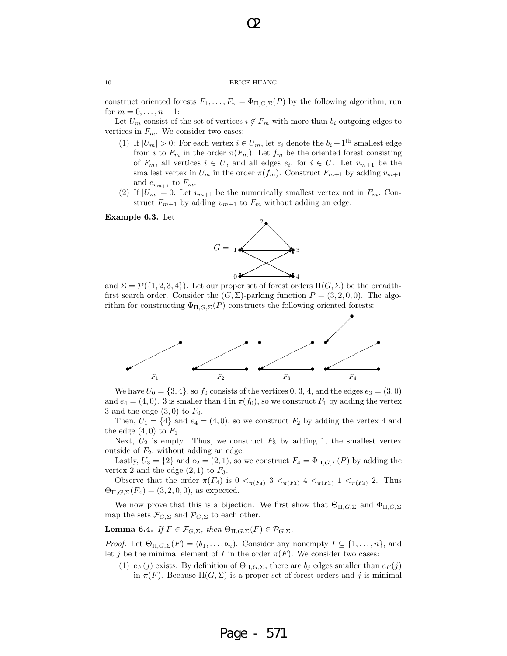O2

construct oriented forests  $F_1, \ldots, F_n = \Phi_{\Pi, G, \Sigma}(P)$  by the following algorithm, run for  $m = 0, \ldots, n - 1$ :

Let  $U_m$  consist of the set of vertices  $i \notin F_m$  with more than  $b_i$  outgoing edges to vertices in  $F_m$ . We consider two cases:

- (1) If  $|U_m| > 0$ : For each vertex  $i \in U_m$ , let  $e_i$  denote the  $b_i + 1$ <sup>th</sup> smallest edge from *i* to  $F_m$  in the order  $\pi(F_m)$ . Let  $f_m$  be the oriented forest consisting of  $F_m$ , all vertices  $i \in U$ , and all edges  $e_i$ , for  $i \in U$ . Let  $v_{m+1}$  be the smallest vertex in  $U_m$  in the order  $\pi(f_m)$ . Construct  $F_{m+1}$  by adding  $v_{m+1}$ and  $e_{v_{m+1}}$  to  $F_m$ .
- (2) If  $|U_m| = 0$ : Let  $v_{m+1}$  be the numerically smallest vertex not in  $F_m$ . Construct  $F_{m+1}$  by adding  $v_{m+1}$  to  $F_m$  without adding an edge.

## Example 6.3. Let



and  $\Sigma = \mathcal{P}(\{1, 2, 3, 4\})$ . Let our proper set of forest orders  $\Pi(G, \Sigma)$  be the breadthfirst search order. Consider the  $(G, \Sigma)$ -parking function  $P = (3, 2, 0, 0)$ . The algorithm for constructing  $\Phi_{\Pi,G,\Sigma}(P)$  constructs the following oriented forests:



We have  $U_0 = \{3, 4\}$ , so  $f_0$  consists of the vertices 0, 3, 4, and the edges  $e_3 = (3, 0)$ and  $e_4 = (4, 0)$ . 3 is smaller than 4 in  $\pi(f_0)$ , so we construct  $F_1$  by adding the vertex 3 and the edge  $(3,0)$  to  $F_0$ .

Then,  $U_1 = \{4\}$  and  $e_4 = (4, 0)$ , so we construct  $F_2$  by adding the vertex 4 and the edge  $(4,0)$  to  $F_1$ .

Next,  $U_2$  is empty. Thus, we construct  $F_3$  by adding 1, the smallest vertex outside of  $F_2$ , without adding an edge.

Lastly,  $U_3 = \{2\}$  and  $e_2 = (2, 1)$ , so we construct  $F_4 = \Phi_{\Pi, G, \Sigma}(P)$  by adding the vertex 2 and the edge  $(2, 1)$  to  $F_3$ .

Observe that the order  $\pi(F_4)$  is  $0 <_{\pi(F_4)} 3 <_{\pi(F_4)} 4 <_{\pi(F_4)} 1 <_{\pi(F_4)} 2$ . Thus  $\Theta_{\Pi,G,\Sigma}(F_4) = (3, 2, 0, 0),$  as expected.

We now prove that this is a bijection. We first show that  $\Theta_{\Pi,G,\Sigma}$  and  $\Phi_{\Pi,G,\Sigma}$ map the sets  $\mathcal{F}_{G,\Sigma}$  and  $\mathcal{P}_{G,\Sigma}$  to each other.

**Lemma 6.4.** If  $F \in \mathcal{F}_{G,\Sigma}$ , then  $\Theta_{\Pi,G,\Sigma}(F) \in \mathcal{P}_{G,\Sigma}$ .

*Proof.* Let  $\Theta_{\Pi,G,\Sigma}(F) = (b_1,\ldots,b_n)$ . Consider any nonempty  $I \subseteq \{1,\ldots,n\}$ , and let j be the minimal element of I in the order  $\pi(F)$ . We consider two cases:

(1)  $e_F(j)$  exists: By definition of  $\Theta_{\Pi,G,\Sigma}$ , there are  $b_j$  edges smaller than  $e_F(j)$ in  $\pi(F)$ . Because  $\Pi(G,\Sigma)$  is a proper set of forest orders and j is minimal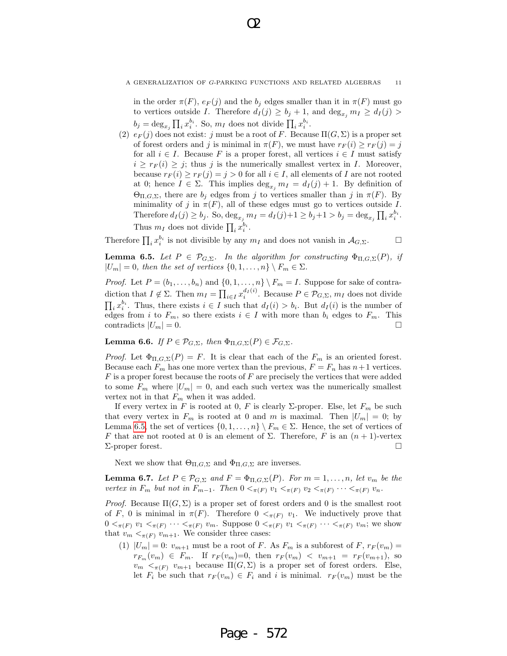in the order  $\pi(F)$ ,  $e_F(j)$  and the  $b_j$  edges smaller than it in  $\pi(F)$  must go to vertices outside I. Therefore  $d_I(j) \geq b_j + 1$ , and  $\deg_{x_i} m_I \geq d_I(j)$  $b_j = \deg_{x_j} \prod_i x_i^{b_i}$ . So,  $m_I$  does not divide  $\prod_i x_i^{b_i}$ .

(2)  $e_F(j)$  does not exist: j must be a root of F. Because  $\Pi(G,\Sigma)$  is a proper set of forest orders and j is minimal in  $\pi(F)$ , we must have  $r_F(i) \geq r_F(j) = j$ for all  $i \in I$ . Because F is a proper forest, all vertices  $i \in I$  must satisfy  $i \geq r_F(i) \geq j$ ; thus j is the numerically smallest vertex in I. Moreover, because  $r_F(i) \geq r_F(j) = j > 0$  for all  $i \in I$ , all elements of I are not rooted at 0; hence  $I \in \Sigma$ . This implies  $\deg_{x_i} m_I = d_I(j) + 1$ . By definition of  $\Theta_{\Pi,G,\Sigma}$ , there are  $b_j$  edges from j to vertices smaller than j in  $\pi(F)$ . By minimality of j in  $\pi(F)$ , all of these edges must go to vertices outside I. Therefore  $d_I(j) \ge b_j$ . So,  $\deg_{x_j} m_I = d_I(j) + 1 \ge b_j + 1 > b_j = \deg_{x_j} \prod_i x_i^{b_i}$ . Thus  $m_I$  does not divide  $\prod_i x_i^{b_i}$ .

Therefore  $\prod_i x_i^{b_i}$  is not divisible by any  $m_I$  and does not vanish in  $\mathcal{A}_{G,\Sigma}$ .

**Lemma 6.5.** Let  $P \in \mathcal{P}_{G,\Sigma}$ . In the algorithm for constructing  $\Phi_{\Pi,G,\Sigma}(P)$ , if  $|U_m| = 0$ , then the set of vertices  $\{0, 1, \ldots, n\} \setminus F_m \in \Sigma$ .

*Proof.* Let  $P = (b_1, \ldots, b_n)$  and  $\{0, 1, \ldots, n\} \setminus F_m = I$ . Suppose for sake of contradiction that  $I \notin \Sigma$ . Then  $m_I = \prod_{i \in I} x_i^{d_I(i)}$ . Because  $P \in \mathcal{P}_{G,\Sigma}$ ,  $m_I$  does not divide  $\prod_i x_i^{b_i}$ . Thus, there exists  $i \in I$  such that  $d_I(i) > b_i$ . But  $d_I(i)$  is the number of edges from i to  $F_m$ , so there exists  $i \in I$  with more than  $b_i$  edges to  $F_m$ . This contradicts  $|U_m|=0$ .

**Lemma 6.6.** If  $P \in \mathcal{P}_{G,\Sigma}$ , then  $\Phi_{\Pi,G,\Sigma}(P) \in \mathcal{F}_{G,\Sigma}$ .

*Proof.* Let  $\Phi_{\Pi,G,\Sigma}(P) = F$ . It is clear that each of the  $F_m$  is an oriented forest. Because each  $F_m$  has one more vertex than the previous,  $F = F_n$  has  $n+1$  vertices.  $F$  is a proper forest because the roots of  $F$  are precisely the vertices that were added to some  $F_m$  where  $|U_m| = 0$ , and each such vertex was the numerically smallest vertex not in that  $F_m$  when it was added.

If every vertex in F is rooted at 0, F is clearly  $\Sigma$ -proper. Else, let  $F_m$  be such that every vertex in  $F_m$  is rooted at 0 and m is maximal. Then  $|U_m| = 0$ ; by Lemma 6.5, the set of vertices  $\{0, 1, \ldots, n\} \setminus F_m \in \Sigma$ . Hence, the set of vertices of F that are not rooted at 0 is an element of  $\Sigma$ . Therefore, F is an  $(n + 1)$ -vertex Σ-proper forest.

Next we show that  $\Theta_{\Pi,G,\Sigma}$  and  $\Phi_{\Pi,G,\Sigma}$  are inverses.

**Lemma 6.7.** Let  $P \in \mathcal{P}_{G,\Sigma}$  and  $F = \Phi_{\Pi,G,\Sigma}(P)$ . For  $m = 1,\ldots,n$ , let  $v_m$  be the vertex in  $F_m$  but not in  $F_{m-1}$ . Then  $0 <_{\pi(F)} v_1 <_{\pi(F)} v_2 <_{\pi(F)} \cdots <_{\pi(F)} v_n$ .

*Proof.* Because  $\Pi(G, \Sigma)$  is a proper set of forest orders and 0 is the smallest root of F, 0 is minimal in  $\pi(F)$ . Therefore  $0 <_{\pi(F)} v_1$ . We inductively prove that  $0 <_{\pi(F)} v_1 <_{\pi(F)} \cdots <_{\pi(F)} v_m$ . Suppose  $0 <_{\pi(F)} v_1 <_{\pi(F)} \cdots <_{\pi(F)} v_m$ ; we show that  $v_m <_{\pi(F)} v_{m+1}$ . We consider three cases:

(1)  $|U_m| = 0$ :  $v_{m+1}$  must be a root of F. As  $F_m$  is a subforest of F,  $r_F(v_m) =$  $r_{F_m}(v_m) \in F_m$ . If  $r_F(v_m)=0$ , then  $r_F(v_m) < v_{m+1} = r_F(v_{m+1})$ , so  $v_m <_{\pi(F)} v_{m+1}$  because  $\Pi(G,\Sigma)$  is a proper set of forest orders. Else, let  $F_i$  be such that  $r_F(v_m) \in F_i$  and i is minimal.  $r_F(v_m)$  must be the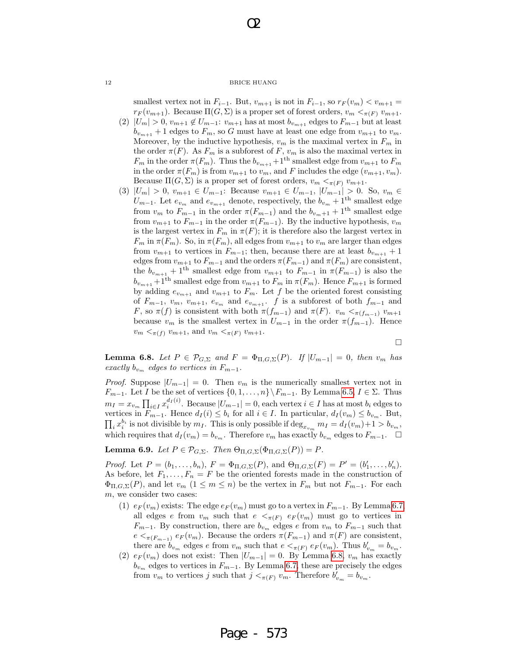O2

smallest vertex not in  $F_{i-1}$ . But,  $v_{m+1}$  is not in  $F_{i-1}$ , so  $r_F(v_m) < v_{m+1}$  $r_F(v_{m+1})$ . Because  $\Pi(G,\Sigma)$  is a proper set of forest orders,  $v_m <_{\pi(F)} v_{m+1}$ .

- (2)  $|U_m| > 0$ ,  $v_{m+1} \notin U_{m-1}: v_{m+1}$  has at most  $b_{v_{m+1}}$  edges to  $F_{m-1}$  but at least  $b_{v_{m+1}} + 1$  edges to  $F_m$ , so G must have at least one edge from  $v_{m+1}$  to  $v_m$ . Moreover, by the inductive hypothesis,  $v_m$  is the maximal vertex in  $F_m$  in the order  $\pi(F)$ . As  $F_m$  is a subforest of F,  $v_m$  is also the maximal vertex in  $F_m$  in the order  $\pi(F_m).$  Thus the  $b_{v_{m+1}}+1^{\text{th}}$  smallest edge from  $v_{m+1}$  to  $F_m$ in the order  $\pi(F_m)$  is from  $v_{m+1}$  to  $v_m$ , and F includes the edge  $(v_{m+1}, v_m)$ . Because  $\Pi(G,\Sigma)$  is a proper set of forest orders,  $v_m <_{\pi(F)} v_{m+1}$ .
- (3)  $|U_m| > 0$ ,  $v_{m+1} \in U_{m-1}$ : Because  $v_{m+1} \in U_{m-1}$ ,  $|U_{m-1}| > 0$ . So,  $v_m \in$  $U_{m-1}$ . Let  $e_{v_m}$  and  $e_{v_{m+1}}$  denote, respectively, the  $b_{v_m}$  + 1<sup>th</sup> smallest edge from  $v_m$  to  $F_{m-1}$  in the order  $\pi(F_{m-1})$  and the  $b_{v_m+1}$  + 1<sup>th</sup> smallest edge from  $v_{m+1}$  to  $F_{m-1}$  in the order  $\pi(F_{m-1})$ . By the inductive hypothesis,  $v_m$ is the largest vertex in  $F_m$  in  $\pi(F)$ ; it is therefore also the largest vertex in  $F_m$  in  $\pi(F_m)$ . So, in  $\pi(F_m)$ , all edges from  $v_{m+1}$  to  $v_m$  are larger than edges from  $v_{m+1}$  to vertices in  $F_{m-1}$ ; then, because there are at least  $b_{v_{m+1}} + 1$ edges from  $v_{m+1}$  to  $F_{m-1}$  and the orders  $\pi(F_{m-1})$  and  $\pi(F_m)$  are consistent, the  $b_{v_{m+1}} + 1^{\text{th}}$  smallest edge from  $v_{m+1}$  to  $F_{m-1}$  in  $\pi(F_{m-1})$  is also the  $b_{v_{m+1}}+1^{\text{th}}$  smallest edge from  $v_{m+1}$  to  $F_m$  in  $\pi(F_m)$ . Hence  $F_{m+1}$  is formed by adding  $e_{v_{m+1}}$  and  $v_{m+1}$  to  $F_m$ . Let f be the oriented forest consisting of  $F_{m-1}, v_m, v_{m+1}, e_{v_m}$  and  $e_{v_{m+1}}$ . f is a subforest of both  $f_{m-1}$  and F, so  $\pi(f)$  is consistent with both  $\pi(f_{m-1})$  and  $\pi(F)$ .  $v_m < \pi(f_{m-1})$   $v_{m+1}$ because  $v_m$  is the smallest vertex in  $U_{m-1}$  in the order  $\pi(f_{m-1})$ . Hence  $v_m <_{\pi(f)} v_{m+1}$ , and  $v_m <_{\pi(F)} v_{m+1}$ .

$$
\Box
$$

**Lemma 6.8.** Let  $P \in \mathcal{P}_{G,\Sigma}$  and  $F = \Phi_{\Pi,G,\Sigma}(P)$ . If  $|U_{m-1}| = 0$ , then  $v_m$  has exactly  $b_{v_m}$  edges to vertices in  $F_{m-1}$ .

*Proof.* Suppose  $|U_{m-1}| = 0$ . Then  $v_m$  is the numerically smallest vertex not in  $F_{m-1}$ . Let I be the set of vertices  $\{0, 1, \ldots, n\}\setminus F_{m-1}$ . By Lemma 6.5,  $I \in \Sigma$ . Thus  $m_I = x_{v_m} \prod_{i \in I} x_i^{d_I(i)}$ . Because  $|U_{m-1}| = 0$ , each vertex  $i \in I$  has at most  $b_i$  edges to vertices in  $F_{m-1}$ . Hence  $d_I(i) \leq b_i$  for all  $i \in I$ . In particular,  $d_I(v_m) \leq b_{v_m}$ . But,  $\prod_i x_i^{b_i}$  is not divisible by  $m_I$ . This is only possible if  $\deg_{x_{v_m}} m_I = d_I(v_m) + 1 > b_{v_m}$ , which requires that  $d_I(v_m) = b_{v_m}$ . Therefore  $v_m$  has exactly  $b_{v_m}$  edges to  $F_{m-1}$ .  $\Box$ 

**Lemma 6.9.** Let  $P \in \mathcal{P}_{G,\Sigma}$ . Then  $\Theta_{\Pi,G,\Sigma}(\Phi_{\Pi,G,\Sigma}(P)) = P$ .

*Proof.* Let  $P = (b_1, ..., b_n)$ ,  $F = \Phi_{\Pi, G, \Sigma}(P)$ , and  $\Theta_{\Pi, G, \Sigma}(F) = P' = (b'_1, ..., b'_n)$ . As before, let  $F_1, \ldots, F_n = F$  be the oriented forests made in the construction of  $\Phi_{\Pi,G,\Sigma}(P)$ , and let  $v_m$   $(1 \leq m \leq n)$  be the vertex in  $F_m$  but not  $F_{m-1}$ . For each m, we consider two cases:

- (1)  $e_F(v_m)$  exists: The edge  $e_F(v_m)$  must go to a vertex in  $F_{m-1}$ . By Lemma 6.7, all edges e from  $v_m$  such that  $e \leq_{\pi(F)} e_F(v_m)$  must go to vertices in  $F_{m-1}$ . By construction, there are  $b_{v_m}$  edges e from  $v_m$  to  $F_{m-1}$  such that  $e <sub>\pi(F_{m-1})</sub> e<sub>F</sub>(v<sub>m</sub>)$ . Because the orders  $\pi(F_{m-1})$  and  $\pi(F)$  are consistent, there are  $b_{v_m}$  edges e from  $v_m$  such that  $e <_{\pi(F)} e_F(v_m)$ . Thus  $b'_{v_m} = b_{v_m}$ .
- (2)  $e_F(v_m)$  does not exist: Then  $|U_{m-1}| = 0$ . By Lemma 6.8,  $v_m$  has exactly  $b_{v_m}$  edges to vertices in  $F_{m-1}$ . By Lemma 6.7, these are precisely the edges from  $v_m$  to vertices j such that  $j <_{\pi(F)} v_m$ . Therefore  $b'_{v_m} = b_{v_m}$ .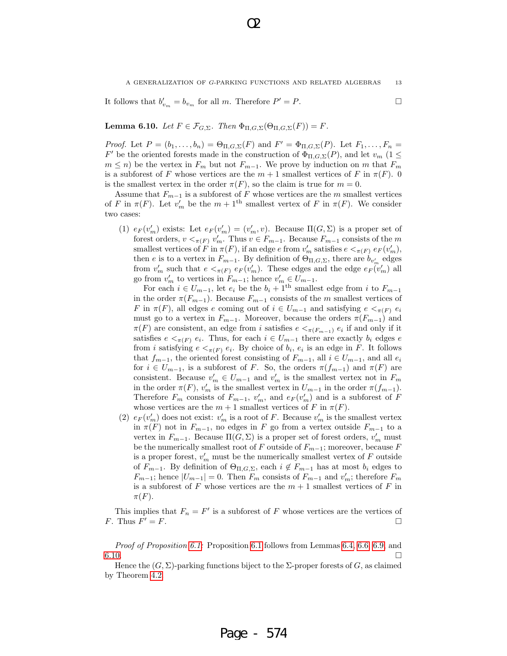It follows that  $b'_{v_m} = b_{v_m}$  for all m. Therefore  $P' = P$ .

**Lemma 6.10.** Let  $F \in \mathcal{F}_{G,\Sigma}$ . Then  $\Phi_{\Pi,G,\Sigma}(\Theta_{\Pi,G,\Sigma}(F)) = F$ .

*Proof.* Let  $P = (b_1, \ldots, b_n) = \Theta_{\Pi, G, \Sigma}(F)$  and  $F' = \Phi_{\Pi, G, \Sigma}(P)$ . Let  $F_1, \ldots, F_n =$ F' be the oriented forests made in the construction of  $\Phi_{\Pi,G,\Sigma}(P)$ , and let  $v_m$  (1  $\leq$  $m \leq n$ ) be the vertex in  $F_m$  but not  $F_{m-1}$ . We prove by induction on m that  $F_m$ is a subforest of F whose vertices are the  $m + 1$  smallest vertices of F in  $\pi(F)$ . 0 is the smallest vertex in the order  $\pi(F)$ , so the claim is true for  $m = 0$ .

Assume that  $F_{m-1}$  is a subforest of F whose vertices are the m smallest vertices of F in  $\pi(F)$ . Let  $v'_m$  be the  $m+1$ <sup>th</sup> smallest vertex of F in  $\pi(F)$ . We consider two cases:

(1)  $e_F(v'_m)$  exists: Let  $e_F(v'_m) = (v'_m, v)$ . Because  $\Pi(G, \Sigma)$  is a proper set of forest orders,  $v <_{\pi(F)} v'_m$ . Thus  $v \in F_{m-1}$ . Because  $F_{m-1}$  consists of the m smallest vertices of  $F$  in  $\pi(F)$ , if an edge  $e$  from  $v'_m$  satisfies  $e <_{\pi(F)} e_F(v'_m)$ , then e is to a vertex in  $F_{m-1}$ . By definition of  $\Theta_{\Pi,G,\Sigma}$ , there are  $b_{v'_m}$  edges from  $v'_m$  such that  $e <_{\pi(F)} e_F(v'_m)$ . These edges and the edge  $e_F(v'_m)$  all go from  $v'_m$  to vertices in  $F_{m-1}$ ; hence  $v'_m \in U_{m-1}$ .

For each  $i \in U_{m-1}$ , let  $e_i$  be the  $b_i + 1$ <sup>th</sup> smallest edge from i to  $F_{m-1}$ in the order  $\pi(F_{m-1})$ . Because  $F_{m-1}$  consists of the m smallest vertices of F in  $\pi(F)$ , all edges e coming out of  $i \in U_{m-1}$  and satisfying  $e <_{\pi(F)} e_i$ must go to a vertex in  $F_{m-1}$ . Moreover, because the orders  $\pi(F_{m-1})$  and  $\pi(F)$  are consistent, an edge from i satisfies  $e <_{\pi(F_{m-1})} e_i$  if and only if it satisfies  $e <_{\pi(F)} e_i$ . Thus, for each  $i \in U_{m-1}$  there are exactly  $b_i$  edges e from *i* satisfying  $e <_{\pi(F)} e_i$ . By choice of  $b_i$ ,  $e_i$  is an edge in F. It follows that  $f_{m-1}$ , the oriented forest consisting of  $F_{m-1}$ , all  $i \in U_{m-1}$ , and all  $e_i$ for  $i \in U_{m-1}$ , is a subforest of F. So, the orders  $\pi(f_{m-1})$  and  $\pi(F)$  are consistent. Because  $v'_m \in U_{m-1}$  and  $v'_m$  is the smallest vertex not in  $F_m$ in the order  $\pi(F)$ ,  $v'_m$  is the smallest vertex in  $U_{m-1}$  in the order  $\pi(f_{m-1})$ . Therefore  $F_m$  consists of  $F_{m-1}$ ,  $v'_m$ , and  $e_F(v'_m)$  and is a subforest of F whose vertices are the  $m + 1$  smallest vertices of F in  $\pi(F)$ .

(2)  $e_F(v'_m)$  does not exist:  $v'_m$  is a root of F. Because  $v'_m$  is the smallest vertex in  $\pi(F)$  not in  $F_{m-1}$ , no edges in F go from a vertex outside  $F_{m-1}$  to a vertex in  $F_{m-1}$ . Because  $\Pi(G, \Sigma)$  is a proper set of forest orders,  $v'_m$  must be the numerically smallest root of F outside of  $F_{m-1}$ ; moreover, because F is a proper forest,  $v'_m$  must be the numerically smallest vertex of  $F$  outside of  $F_{m-1}$ . By definition of  $\Theta_{\Pi,G,\Sigma}$ , each  $i \notin F_{m-1}$  has at most  $b_i$  edges to  $F_{m-1}$ ; hence  $|U_{m-1}| = 0$ . Then  $F_m$  consists of  $F_{m-1}$  and  $v'_m$ ; therefore  $F_m$ is a subforest of F whose vertices are the  $m + 1$  smallest vertices of F in  $\pi(F)$ .

This implies that  $F_n = F'$  is a subforest of F whose vertices are the vertices of F. Thus  $F' = F$ .  $\mathbf{V} = F.$ 

Proof of Proposition 6.1: Proposition 6.1 follows from Lemmas 6.4, 6.6, 6.9, and  $6.10.$ 

Hence the  $(G, \Sigma)$ -parking functions biject to the  $\Sigma$ -proper forests of G, as claimed by Theorem 4.2.

O2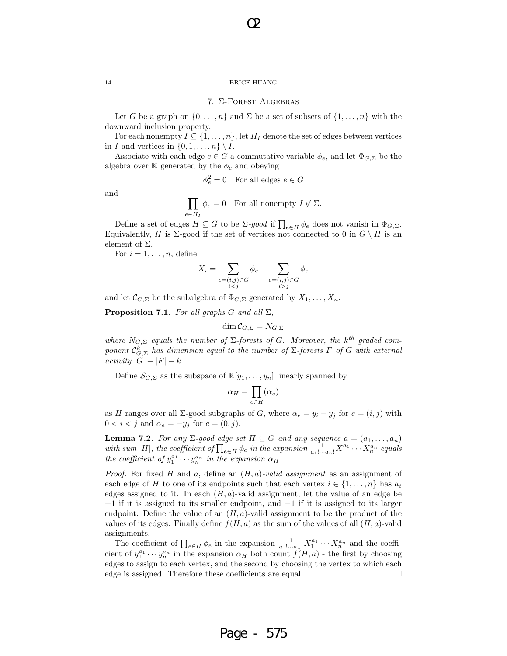O2

## 7. Σ-Forest Algebras

Let G be a graph on  $\{0,\ldots,n\}$  and  $\Sigma$  be a set of subsets of  $\{1,\ldots,n\}$  with the downward inclusion property.

For each nonempty  $I \subseteq \{1, \ldots, n\}$ , let  $H_I$  denote the set of edges between vertices in I and vertices in  $\{0, 1, \ldots, n\} \setminus I$ .

Associate with each edge  $e \in G$  a commutative variable  $\phi_e$ , and let  $\Phi_{G,\Sigma}$  be the algebra over K generated by the  $\phi_e$  and obeying

$$
\phi_e^2 = 0 \quad \text{For all edges } e \in G
$$

and

$$
\prod_{e \in H_I} \phi_e = 0 \quad \text{For all nonempty } I \notin \Sigma.
$$

Define a set of edges  $H \subseteq G$  to be  $\Sigma$ -good if  $\prod_{e \in H} \phi_e$  does not vanish in  $\Phi_{G,\Sigma}$ . Equivalently, H is  $\Sigma$ -good if the set of vertices not connected to 0 in  $G \setminus H$  is an element of  $\Sigma$ .

For  $i = 1, \ldots, n$ , define

$$
X_i = \sum_{\substack{e = (i,j) \in G \\ i < j}} \phi_e - \sum_{\substack{e = (i,j) \in G \\ i > j}} \phi_e
$$

and let  $\mathcal{C}_{G,\Sigma}$  be the subalgebra of  $\Phi_{G,\Sigma}$  generated by  $X_1,\ldots,X_n$ .

**Proposition 7.1.** For all graphs G and all  $\Sigma$ ,

$$
\dim \mathcal{C}_{G,\Sigma} = N_{G,\Sigma}
$$

where  $N_{G,\Sigma}$  equals the number of  $\Sigma$ -forests of G. Moreover, the k<sup>th</sup> graded component  $\mathcal{C}_{G,\Sigma}^k$  has dimension equal to the number of  $\Sigma$ -forests F of G with external  $activity |G| - |F| - k.$ 

Define  $\mathcal{S}_{G,\Sigma}$  as the subspace of  $\mathbb{K}[y_1,\ldots,y_n]$  linearly spanned by

$$
\alpha_H = \prod_{e \in H} (\alpha_e)
$$

as H ranges over all  $\Sigma$ -good subgraphs of G, where  $\alpha_e = y_i - y_j$  for  $e = (i, j)$  with  $0 < i < j$  and  $\alpha_e = -y_j$  for  $e = (0, j)$ .

**Lemma 7.2.** For any  $\Sigma$ -good edge set  $H \subseteq G$  and any sequence  $a = (a_1, \ldots, a_n)$ with sum |H|, the coefficient of  $\prod_{e \in H} \phi_e$  in the expansion  $\frac{1}{a_1! \cdots a_n!} X_1^{a_1} \cdots X_n^{a_n}$  equals the coefficient of  $y_1^{a_1} \cdots y_n^{a_n}$  in the expansion  $\alpha_H$ .

*Proof.* For fixed H and a, define an  $(H, a)$ -valid assignment as an assignment of each edge of H to one of its endpoints such that each vertex  $i \in \{1, \ldots, n\}$  has  $a_i$ edges assigned to it. In each  $(H, a)$ -valid assignment, let the value of an edge be +1 if it is assigned to its smaller endpoint, and −1 if it is assigned to its larger endpoint. Define the value of an  $(H, a)$ -valid assignment to be the product of the values of its edges. Finally define  $f(H, a)$  as the sum of the values of all  $(H, a)$ -valid assignments.

The coefficient of  $\prod_{e \in H} \phi_e$  in the expansion  $\frac{1}{a_1! \cdots a_n!} X_1^{a_1} \cdots X_n^{a_n}$  and the coefficient of  $y_1^{a_1} \cdots y_n^{a_n}$  in the expansion  $\alpha_H$  both count  $f(H, a)$  - the first by choosing edges to assign to each vertex, and the second by choosing the vertex to which each edge is assigned. Therefore these coefficients are equal.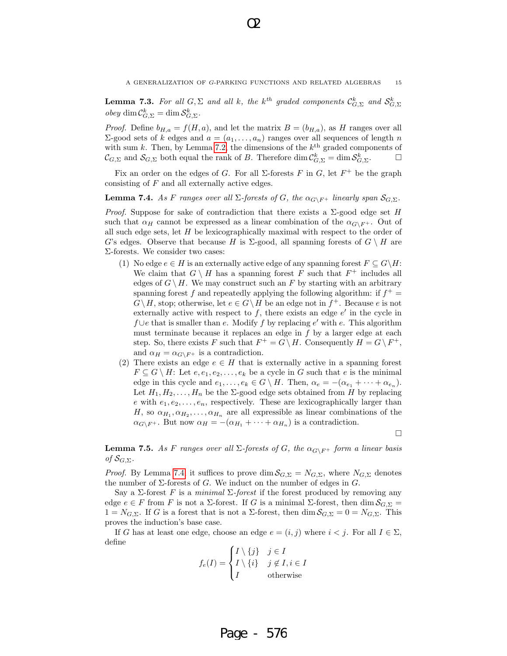**Lemma 7.3.** For all  $G, \Sigma$  and all k, the k<sup>th</sup> graded components  $\mathcal{C}_{G,\Sigma}^k$  and  $\mathcal{S}_{G,\Sigma}^k$  $obey \dim \mathcal{C}_{G,\Sigma}^k = \dim \mathcal{S}_{G,\Sigma}^k$ .

O2

*Proof.* Define  $b_{H,a} = f(H,a)$ , and let the matrix  $B = (b_{H,a})$ , as H ranges over all  $Σ$ -good sets of k edges and  $a = (a_1, \ldots, a_n)$  ranges over all sequences of length n with sum k. Then, by Lemma 7.2, the dimensions of the  $k^{\text{th}}$  graded components of  $\mathcal{C}_{G,\Sigma}$  and  $\mathcal{S}_{G,\Sigma}$  both equal the rank of B. Therefore  $\dim \mathcal{C}_{G,\Sigma}^k = \dim \mathcal{S}_{G,\Sigma}^k$ .

Fix an order on the edges of G. For all  $\Sigma$ -forests F in G, let  $F^+$  be the graph consisting of F and all externally active edges.

## **Lemma 7.4.** As F ranges over all  $\Sigma$ -forests of G, the  $\alpha_{G\setminus F^+}$  linearly span  $S_{G,\Sigma}$ .

*Proof.* Suppose for sake of contradiction that there exists a  $\Sigma$ -good edge set H such that  $\alpha_H$  cannot be expressed as a linear combination of the  $\alpha_{G\setminus F^+}$ . Out of all such edge sets, let  $H$  be lexicographically maximal with respect to the order of G's edges. Observe that because H is  $\Sigma$ -good, all spanning forests of  $G \setminus H$  are Σ-forests. We consider two cases:

- (1) No edge  $e \in H$  is an externally active edge of any spanning forest  $F \subseteq G\backslash H$ : We claim that  $G \setminus H$  has a spanning forest F such that  $F^+$  includes all edges of  $G \setminus H$ . We may construct such an F by starting with an arbitrary spanning forest f and repeatedly applying the following algorithm: if  $f^+$  =  $G \setminus H$ , stop; otherwise, let  $e \in G \setminus H$  be an edge not in  $f^+$ . Because e is not externally active with respect to  $f$ , there exists an edge  $e'$  in the cycle in  $f \cup e$  that is smaller than e. Modify f by replacing e' with e. This algorithm must terminate because it replaces an edge in  $f$  by a larger edge at each step. So, there exists F such that  $F^+ = G \setminus H$ . Consequently  $H = G \setminus F^+$ , and  $\alpha_H = \alpha_{G\setminus F^+}$  is a contradiction.
- (2) There exists an edge  $e \in H$  that is externally active in a spanning forest  $F \subseteq G \setminus H$ : Let  $e, e_1, e_2, \ldots, e_k$  be a cycle in G such that e is the minimal edge in this cycle and  $e_1, \ldots, e_k \in G \setminus H$ . Then,  $\alpha_e = -(\alpha_{e_1} + \cdots + \alpha_{e_n})$ . Let  $H_1, H_2, \ldots, H_n$  be the  $\Sigma$ -good edge sets obtained from H by replacing e with  $e_1, e_2, \ldots, e_n$ , respectively. These are lexicographically larger than H, so  $\alpha_{H_1}, \alpha_{H_2}, \ldots, \alpha_{H_n}$  are all expressible as linear combinations of the  $\alpha_{G\setminus F^+}$ . But now  $\alpha_H = -(\alpha_{H_1} + \cdots + \alpha_{H_n})$  is a contradiction.

 $\Box$ 

**Lemma 7.5.** As F ranges over all  $\Sigma$ -forests of G, the  $\alpha_{G\setminus F^+}$  form a linear basis of  $\mathcal{S}_{G,\Sigma}$ .

*Proof.* By Lemma 7.4, it suffices to prove dim  $S_{G,\Sigma} = N_{G,\Sigma}$ , where  $N_{G,\Sigma}$  denotes the number of  $\Sigma$ -forests of G. We induct on the number of edges in G.

Say a Σ-forest F is a minimal  $\Sigma$ -forest if the forest produced by removing any edge  $e \in F$  from F is not a  $\Sigma$ -forest. If G is a minimal  $\Sigma$ -forest, then dim  $\mathcal{S}_{G,\Sigma}$  =  $1 = N_{G,\Sigma}$ . If G is a forest that is not a  $\Sigma$ -forest, then dim  $S_{G,\Sigma} = 0 = N_{G,\Sigma}$ . This proves the induction's base case.

If G has at least one edge, choose an edge  $e = (i, j)$  where  $i < j$ . For all  $I \in \Sigma$ , define

$$
f_e(I) = \begin{cases} I \setminus \{j\} & j \in I \\ I \setminus \{i\} & j \notin I, i \in I \\ I & \text{otherwise} \end{cases}
$$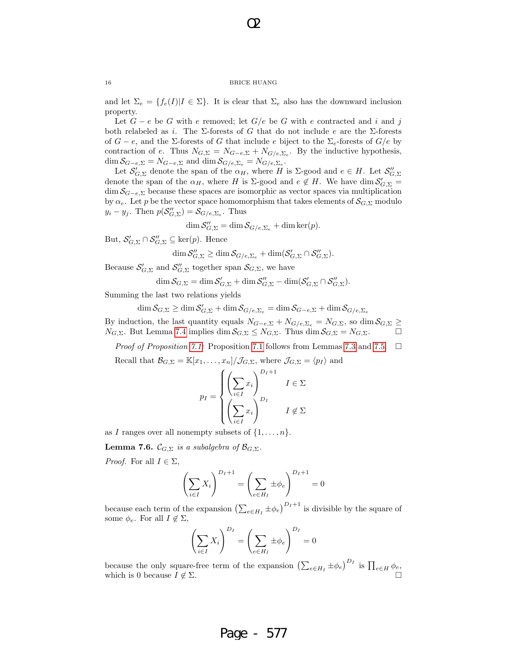O2

and let  $\Sigma_e = \{f_e(I)|I \in \Sigma\}$ . It is clear that  $\Sigma_e$  also has the downward inclusion property.

Let  $G - e$  be G with e removed; let  $G/e$  be G with e contracted and i and j both relabeled as i. The  $\Sigma$ -forests of G that do not include e are the  $\Sigma$ -forests of  $G - e$ , and the Σ-forests of G that include e biject to the  $\Sigma_e$ -forests of  $G/e$  by contraction of e. Thus  $N_{G,\Sigma} = N_{G-e,\Sigma} + N_{G/e,\Sigma_e}$ . By the inductive hypothesis,  $\dim \mathcal{S}_{G-e,\Sigma} = N_{G-e,\Sigma}$  and  $\dim \mathcal{S}_{G/e,\Sigma_e} = N_{G/e,\Sigma_e}$ .

Let  $\mathcal{S}'_{G,\Sigma}$  denote the span of the  $\alpha_H$ , where H is  $\Sigma$ -good and  $e \in H$ . Let  $\mathcal{S}''_{G,\Sigma}$ denote the span of the  $\alpha_H$ , where H is  $\Sigma$ -good and  $e \notin H$ . We have dim  $\mathcal{S}'_{G,\Sigma}$  =  $\dim S_{G-e,\Sigma}$  because these spaces are isomorphic as vector spaces via multiplication by  $\alpha_e$ . Let p be the vector space homomorphism that takes elements of  $\mathcal{S}_{G,\Sigma}$  modulo  $y_i - y_j$ . Then  $p(\mathcal{S}_{G,\Sigma}^{"}) = \mathcal{S}_{G/e,\Sigma_e}$ . Thus

$$
\dim \mathcal{S}_{G,\Sigma}'' = \dim \mathcal{S}_{G/e,\Sigma_e} + \dim \ker(p).
$$

But,  $\mathcal{S}'_{G,\Sigma} \cap \mathcal{S}''_{G,\Sigma} \subseteq \ker(p)$ . Hence

$$
\dim \mathcal{S}_{G,\Sigma}'' \geq \dim \mathcal{S}_{G/e,\Sigma_e} + \dim (\mathcal{S}_{G,\Sigma}' \cap \mathcal{S}_{G,\Sigma}'').
$$

Because  $\mathcal{S}'_{G,\Sigma}$  and  $\mathcal{S}''_{G,\Sigma}$  together span  $\mathcal{S}_{G,\Sigma}$ , we have

$$
\dim \mathcal{S}_{G,\Sigma} = \dim \mathcal{S}_{G,\Sigma}'+\dim \mathcal{S}_{G,\Sigma}''-\dim(\mathcal{S}_{G,\Sigma}' \cap \mathcal{S}_{G,\Sigma}'').
$$

Summing the last two relations yields

 $\dim \mathcal{S}_{G,\Sigma} \geq \dim \mathcal{S}_{G,\Sigma}' + \dim \mathcal{S}_{G/e,\Sigma_e} = \dim \mathcal{S}_{G-e,\Sigma} + \dim \mathcal{S}_{G/e,\Sigma_e}$ By induction, the last quantity equals  $N_{G-e,\Sigma} + N_{G/e,\Sigma_e} = N_{G,\Sigma}$ , so dim  $S_{G,\Sigma} \ge$  $N_{G,\Sigma}$ . But Lemma 7.4 implies dim  $\mathcal{S}_{G,\Sigma} \leq N_{G,\Sigma}$ . Thus dim  $\mathcal{S}_{G,\Sigma} = N_{G,\Sigma}$ .

*Proof of Proposition 7.1:* Proposition 7.1 follows from Lemmas 7.3 and 7.5.  $\Box$ 

Recall that  $\mathcal{B}_{G,\Sigma} = \mathbb{K}[x_1,\ldots,x_n]/\mathcal{J}_{G,\Sigma}$ , where  $\mathcal{J}_{G,\Sigma} = \langle p_I \rangle$  and

$$
p_I = \begin{cases} \left(\sum_{i \in I} x_i\right)^{D_I + 1} & I \in \Sigma\\ \left(\sum_{i \in I} x_i\right)^{D_I} & I \notin \Sigma \end{cases}
$$

as I ranges over all nonempty subsets of  $\{1, \ldots, n\}$ .

**Lemma 7.6.**  $\mathcal{C}_{G,\Sigma}$  is a subalgebra of  $\mathcal{B}_{G,\Sigma}$ .

*Proof.* For all  $I \in \Sigma$ ,

$$
\left(\sum_{i\in I} X_i\right)^{D_I+1} = \left(\sum_{e\in H_I} \pm \phi_e\right)^{D_I+1} = 0
$$

because each term of the expansion  $\left(\sum_{e \in H_I} \pm \phi_e\right)^{D_I+1}$  is divisible by the square of some  $\phi_e$ . For all  $I \notin \Sigma$ ,

$$
\left(\sum_{i\in I} X_i\right)^{D_I} = \left(\sum_{e\in H_I} \pm \phi_e\right)^{D_I} = 0
$$

because the only square-free term of the expansion  $\left(\sum_{e \in H_I} \pm \phi_e\right)^{D_I}$  is  $\prod_{e \in H} \phi_e$ , which is 0 because  $I \not\in \Sigma$ .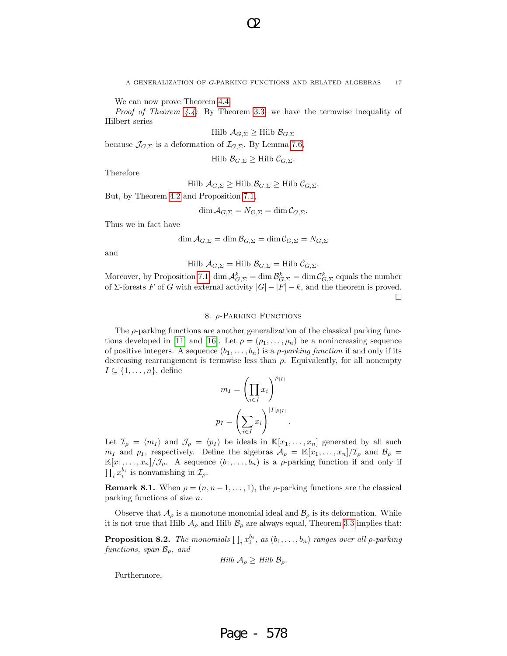We can now prove Theorem 4.4.

*Proof of Theorem 4.4:* By Theorem 3.3, we have the termwise inequality of Hilbert series

O2

$$
\text{Hilb } \mathcal{A}_{G,\Sigma} \geq \text{Hilb } \mathcal{B}_{G,\Sigma}
$$

because  $\mathcal{J}_{G,\Sigma}$  is a deformation of  $\mathcal{I}_{G,\Sigma}$ . By Lemma 7.6,

Hilb  $\mathcal{B}_{G,\Sigma} \geq Hilb \mathcal{C}_{G,\Sigma}$ .

Therefore

Hilb  $\mathcal{A}_{G,\Sigma} \geq$  Hilb  $\mathcal{B}_{G,\Sigma} \geq$  Hilb  $\mathcal{C}_{G,\Sigma}$ .

But, by Theorem 4.2 and Proposition 7.1,

$$
\dim \mathcal{A}_{G,\Sigma} = N_{G,\Sigma} = \dim \mathcal{C}_{G,\Sigma}.
$$

Thus we in fact have

 $\dim \mathcal{A}_{G,\Sigma} = \dim \mathcal{B}_{G,\Sigma} = \dim \mathcal{C}_{G,\Sigma} = N_{G,\Sigma}$ 

and

$$
\text{Hilb } \mathcal{A}_{G,\Sigma} = \text{Hilb } \mathcal{B}_{G,\Sigma} = \text{Hilb } \mathcal{C}_{G,\Sigma}.
$$

Moreover, by Proposition 7.1,  $\dim \mathcal{A}_{G,\Sigma}^k = \dim \mathcal{B}_{G,\Sigma}^k = \dim \mathcal{C}_{G,\Sigma}^k$  equals the number of Σ-forests F of G with external activity  $|G| - |F| - k$ , and the theorem is proved.  $\Box$ 

## 8. ρ-Parking Functions

The  $\rho$ -parking functions are another generalization of the classical parking functions developed in [11] and [16]. Let  $\rho = (\rho_1, \ldots, \rho_n)$  be a nonincreasing sequence of positive integers. A sequence  $(b_1, \ldots, b_n)$  is a *ρ-parking function* if and only if its decreasing rearrangement is termwise less than  $\rho$ . Equivalently, for all nonempty  $I \subseteq \{1, \ldots, n\}$ , define

$$
m_I = \left(\prod_{i \in I} x_i\right)^{\rho_{|I|}}
$$

$$
p_I = \left(\sum_{i \in I} x_i\right)^{|I|\rho_{|I|}}.
$$

Let  $\mathcal{I}_{\rho} = \langle m_I \rangle$  and  $\mathcal{J}_{\rho} = \langle p_I \rangle$  be ideals in  $\mathbb{K}[x_1, \ldots, x_n]$  generated by all such  $m_I$  and  $p_I$ , respectively. Define the algebras  $\mathcal{A}_{\rho} = \mathbb{K}[x_1, \ldots, x_n]/\mathcal{I}_{\rho}$  and  $\mathcal{B}_{\rho} =$  $\mathbb{K}[x_1,\ldots,x_n]/\mathcal{J}_\rho$ . A sequence  $(b_1,\ldots,b_n)$  is a  $\rho$ -parking function if and only if  $\prod_i x_i^{b_i}$  is nonvanishing in  $\mathcal{I}_{\rho}$ .

**Remark 8.1.** When  $\rho = (n, n-1, \ldots, 1)$ , the  $\rho$ -parking functions are the classical parking functions of size n.

Observe that  $\mathcal{A}_{\rho}$  is a monotone monomial ideal and  $\mathcal{B}_{\rho}$  is its deformation. While it is not true that Hilb  $\mathcal{A}_{\rho}$  and Hilb  $\mathcal{B}_{\rho}$  are always equal, Theorem 3.3 implies that:

**Proposition 8.2.** The monomials  $\prod_i x_i^{b_i}$ , as  $(b_1, \ldots, b_n)$  ranges over all  $\rho$ -parking functions, span  $\mathcal{B}_{\rho}$ , and

$$
Hilb \mathcal{A}_{\rho} \geq Hilb \mathcal{B}_{\rho}.
$$

Furthermore,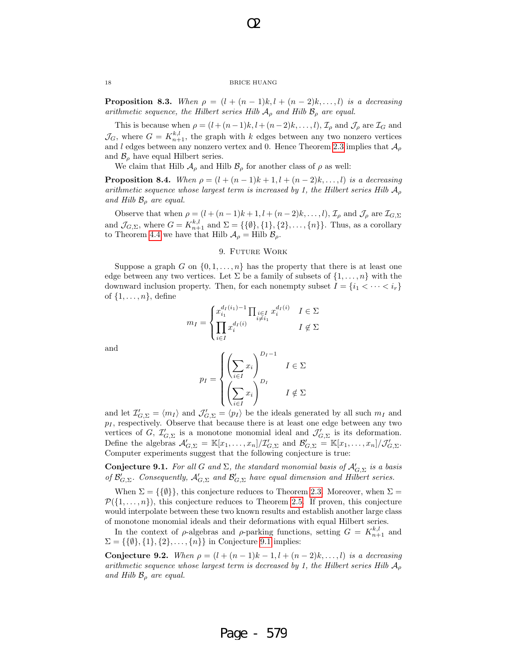O2

**Proposition 8.3.** When  $\rho = (l + (n-1)k, l + (n-2)k, \ldots, l)$  is a decreasing arithmetic sequence, the Hilbert series Hilb  $A_{\rho}$  and Hilb  $B_{\rho}$  are equal.

This is because when  $\rho = (l + (n-1)k, l + (n-2)k, \dots, l)$ ,  $\mathcal{I}_{\rho}$  and  $\mathcal{J}_{\rho}$  are  $\mathcal{I}_{G}$  and  $\mathcal{J}_G$ , where  $G = K_{n+1}^{k,l}$ , the graph with k edges between any two nonzero vertices and l edges between any nonzero vertex and 0. Hence Theorem 2.3 implies that  $\mathcal{A}_{\rho}$ and  $\mathcal{B}_{\rho}$  have equal Hilbert series.

We claim that Hilb  $\mathcal{A}_{\rho}$  and Hilb  $\mathcal{B}_{\rho}$  for another class of  $\rho$  as well:

**Proposition 8.4.** When  $\rho = (l + (n-1)k + 1, l + (n-2)k, \ldots, l)$  is a decreasing arithmetic sequence whose largest term is increased by 1, the Hilbert series Hilb  $A_{\rho}$ and Hilb  $\mathcal{B}_{\rho}$  are equal.

Observe that when  $\rho = (l + (n-1)k + 1, l + (n-2)k, \ldots, l)$ ,  $\mathcal{I}_{\rho}$  and  $\mathcal{J}_{\rho}$  are  $\mathcal{I}_{G,\Sigma}$ and  $\mathcal{J}_{G,\Sigma}$ , where  $G = K_{n+1}^{k,l}$  and  $\Sigma = \{\{\emptyset\},\{1\},\{2\},\ldots,\{n\}\}\.$  Thus, as a corollary to Theorem 4.4 we have that Hilb  $\mathcal{A}_{\rho} =$  Hilb  $\mathcal{B}_{\rho}$ .

## 9. FUTURE WORK

Suppose a graph G on  $\{0, 1, \ldots, n\}$  has the property that there is at least one edge between any two vertices. Let  $\Sigma$  be a family of subsets of  $\{1,\ldots,n\}$  with the downward inclusion property. Then, for each nonempty subset  $I = \{i_1 < \cdots < i_r\}$ of  $\{1, \ldots, n\}$ , define

$$
m_I = \begin{cases} x_{i_1}^{d_I(i_1)-1} \prod_{\substack{i \in I \\ i \neq i_1}} x_i^{d_I(i)} & I \in \Sigma \\ i \in I & I \notin \Sigma \end{cases}
$$

and

$$
p_I = \begin{cases} \left(\sum_{i \in I} x_i\right)^{D_I - 1} & I \in \Sigma\\ \left(\sum_{i \in I} x_i\right)^{D_I} & I \notin \Sigma \end{cases}
$$

and let  $\mathcal{I}'_{G,\Sigma} = \langle m_I \rangle$  and  $\mathcal{J}'_{G,\Sigma} = \langle p_I \rangle$  be the ideals generated by all such  $m_I$  and  $p_I$ , respectively. Observe that because there is at least one edge between any two vertices of G,  $\mathcal{I}'_{G,\Sigma}$  is a monotone monomial ideal and  $\mathcal{J}'_{G,\Sigma}$  is its deformation. Define the algebras  $\mathcal{A}'_{G,\Sigma} = \mathbb{K}[x_1,\ldots,x_n]/\mathcal{I}'_{G,\Sigma}$  and  $\mathcal{B}'_{G,\Sigma} = \mathbb{K}[x_1,\ldots,x_n]/\mathcal{J}'_{G,\Sigma}$ . Computer experiments suggest that the following conjecture is true:

**Conjecture 9.1.** For all G and  $\Sigma$ , the standard monomial basis of  $\mathcal{A}'_{G,\Sigma}$  is a basis of  $\mathcal{B}_{G,\Sigma}'$ . Consequently,  $\mathcal{A}_{G,\Sigma}'$  and  $\mathcal{B}_{G,\Sigma}'$  have equal dimension and Hilbert series.

When  $\Sigma = \{\{\emptyset\}\}\$ , this conjecture reduces to Theorem 2.3. Moreover, when  $\Sigma =$  $\mathcal{P}(\{1,\ldots,n\})$ , this conjecture reduces to Theorem 2.5. If proven, this conjecture would interpolate between these two known results and establish another large class of monotone monomial ideals and their deformations with equal Hilbert series.

In the context of  $\rho$ -algebras and  $\rho$ -parking functions, setting  $G = K_{n+1}^{k,l}$  and  $\Sigma = \{\{\emptyset\}, \{1\}, \{2\}, \ldots, \{n\}\}\$ in Conjecture 9.1 implies:

Conjecture 9.2. When  $\rho = (l + (n-1)k - 1, l + (n-2)k, \ldots, l)$  is a decreasing arithmetic sequence whose largest term is decreased by 1, the Hilbert series Hilb  $A_{\rho}$ and Hilb  $\mathcal{B}_{\rho}$  are equal.